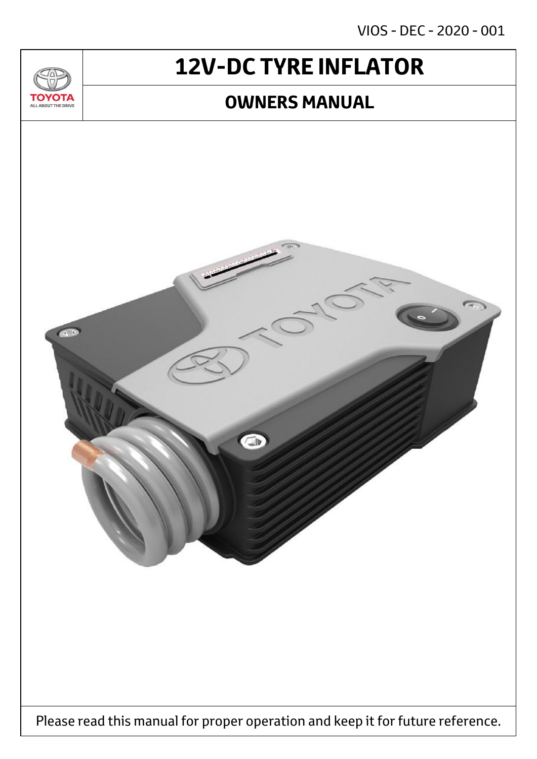VIOS - DEC - 2020 - 001

## **12V-DC TYRE INFLATOR**

 $T_{\Delta}$ 

**TOYOTA** ALL ABOUT THE DRIVE

### **OWNERS MANUAL**

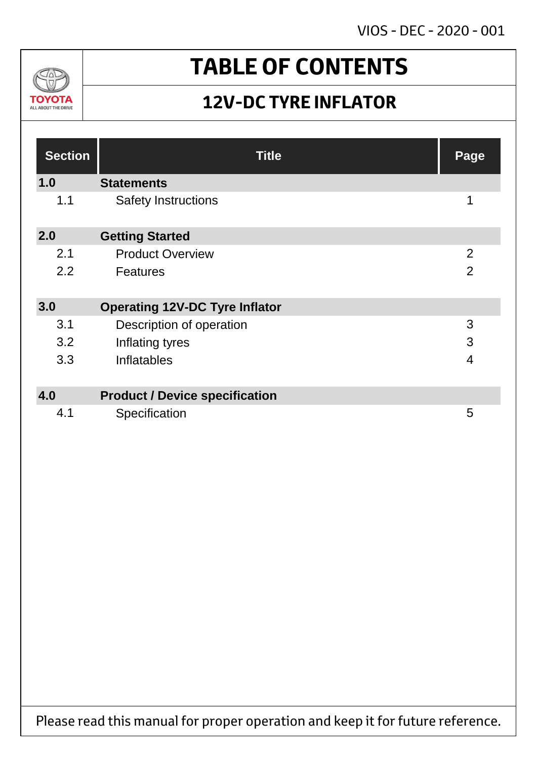VIOS - DEC - 2020 - 001



# **TABLE OF CONTENTS**

### **12V-DC TYRE INFLATOR**

| <b>Section</b> | <b>Title</b>                          | Page           |
|----------------|---------------------------------------|----------------|
| 1.0            | <b>Statements</b>                     |                |
| 1.1            | <b>Safety Instructions</b>            | 1              |
| 2.0            | <b>Getting Started</b>                |                |
| 2.1            | <b>Product Overview</b>               | $\overline{2}$ |
| 2.2            | <b>Features</b>                       | $\overline{2}$ |
| 3.0            | <b>Operating 12V-DC Tyre Inflator</b> |                |
| 3.1            | Description of operation              | 3              |
| 3.2            | Inflating tyres                       | 3              |
| 3.3            | <b>Inflatables</b>                    | $\overline{4}$ |
|                |                                       |                |
| 4.0            | <b>Product / Device specification</b> |                |
| 4.1            | Specification                         | 5              |

Please read this manual for proper operation and keep it for future reference.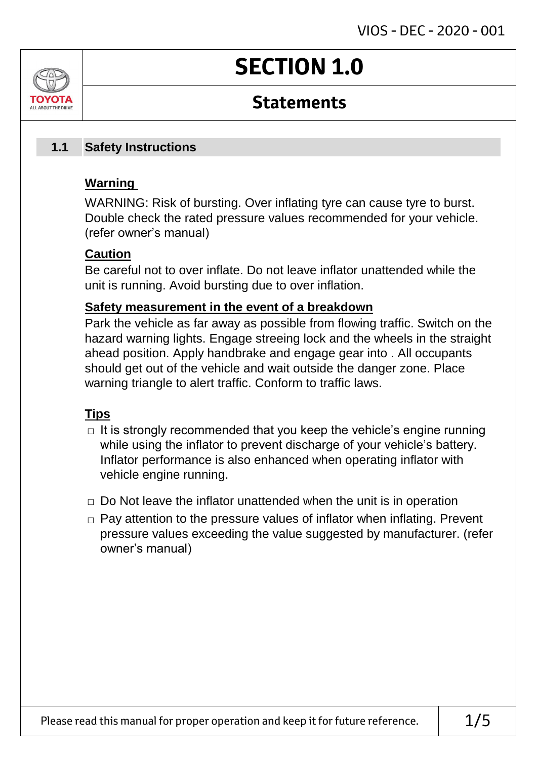# **SECTION 1.0**

### **Statements**

#### **Safety Instructions 1.1**

### **Warning**

ALL AROUT THE DRIV

WARNING: Risk of bursting. Over inflating tyre can cause tyre to burst. Double check the rated pressure values recommended for your vehicle. (refer owner's manual)

### **Caution**

Be careful not to over inflate. Do not leave inflator unattended while the unit is running. Avoid bursting due to over inflation.

### **Safety measurement in the event of a breakdown**

Park the vehicle as far away as possible from flowing traffic. Switch on the hazard warning lights. Engage streeing lock and the wheels in the straight ahead position. Apply handbrake and engage gear into . All occupants should get out of the vehicle and wait outside the danger zone. Place warning triangle to alert traffic. Conform to traffic laws.

### **Tips**

- $\Box$  It is strongly recommended that you keep the vehicle's engine running while using the inflator to prevent discharge of your vehicle's battery. Inflator performance is also enhanced when operating inflator with vehicle engine running.
- $\Box$  Do Not leave the inflator unattended when the unit is in operation
- □ Pay attention to the pressure values of inflator when inflating. Prevent pressure values exceeding the value suggested by manufacturer. (refer owner's manual)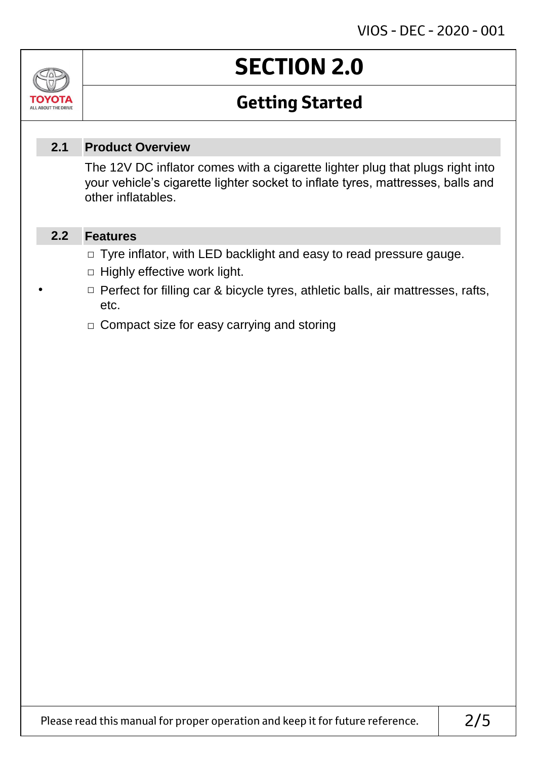### **OYOTA** ALL ABOUT THE DRIVE

# **SECTION 2.0**

### **Getting Started**

#### **Product Overview 2.1**

The 12V DC inflator comes with a cigarette lighter plug that plugs right into your vehicle's cigarette lighter socket to inflate tyres, mattresses, balls and other inflatables.

#### **Features 2.2**

- □ Tyre inflator, with LED backlight and easy to read pressure gauge.
- $\Box$  Highly effective work light.
- **If the Perfect for filling car & bicycle tyres, athletic balls, air mattresses, rafts,** etc.
	- □ Compact size for easy carrying and storing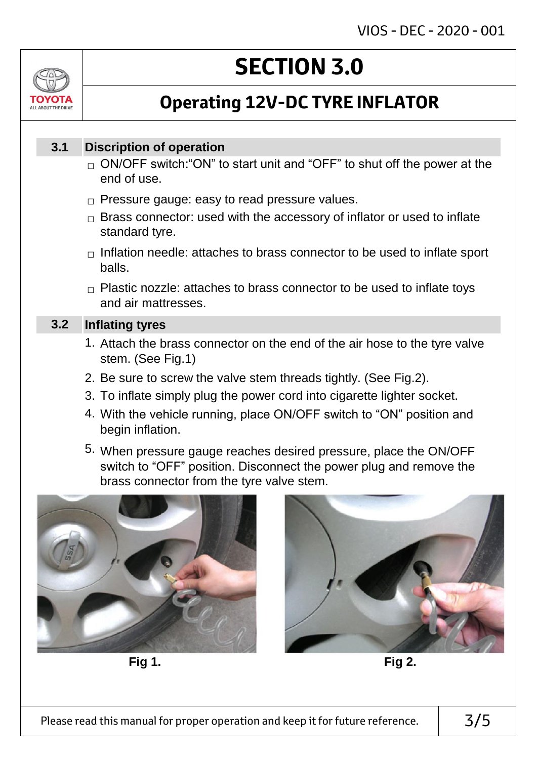# ALL AROUT THE DRIV

# **SECTION 3.0**

### **Operating 12V-DC TYRE INFLATOR**

#### **Discription of operation 3.1**

- $_\square$  ON/OFF switch:"ON" to start unit and "OFF" to shut off the power at the end of use.
- $\Box$  Pressure gauge: easy to read pressure values.
- $\Box$  Brass connector: used with the accessory of inflator or used to inflate standard tyre.
- $\Box$  Inflation needle: attaches to brass connector to be used to inflate sport balls.
- $\Box$  Plastic nozzle: attaches to brass connector to be used to inflate toys and air mattresses.

#### **Inflating tyres 3.2**

- 1. Attach the brass connector on the end of the air hose to the tyre valve stem. (See Fig.1)
- 2. Be sure to screw the valve stem threads tightly. (See Fig.2).
- 3. To inflate simply plug the power cord into cigarette lighter socket.
- 4. With the vehicle running, place ON/OFF switch to "ON" position and begin inflation.
- 5. When pressure gauge reaches desired pressure, place the ON/OFF switch to "OFF" position. Disconnect the power plug and remove the brass connector from the tyre valve stem.



**Fig 1. Fig 2.**

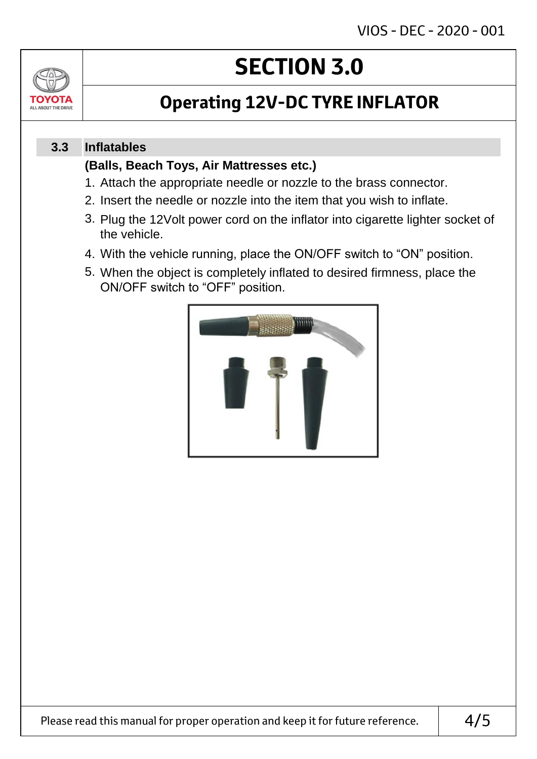

# **SECTION 3.0**

### **Operating 12V-DC TYRE INFLATOR**

#### **Inflatables 3.3**

### **(Balls, Beach Toys, Air Mattresses etc.)**

- 1. Attach the appropriate needle or nozzle to the brass connector.
- 2. Insert the needle or nozzle into the item that you wish to inflate.
- 3. Plug the 12Volt power cord on the inflator into cigarette lighter socket of the vehicle.
- 4. With the vehicle running, place the ON/OFF switch to "ON" position.
- 5. When the object is completely inflated to desired firmness, place the ON/OFF switch to "OFF" position.